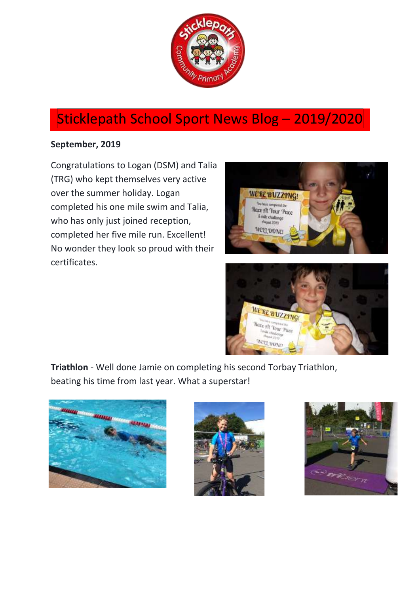

# Sticklepath School Sport News Blog – 2019/2020

# **September, 2019**

Congratulations to Logan (DSM) and Talia (TRG) who kept themselves very active over the summer holiday. Logan completed his one mile swim and Talia, who has only just joined reception, completed her five mile run. Excellent! No wonder they look so proud with their certificates.





**Triathlon** - Well done Jamie on completing his second Torbay Triathlon, beating his time from last year. What a superstar!





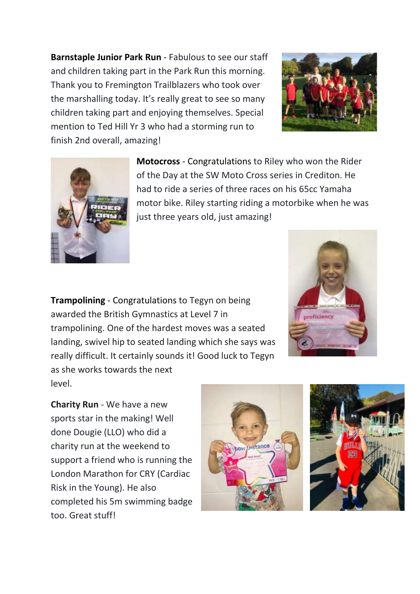**Barnstaple Junior Park Run** - Fabulous to see our staff and children taking part in the Park Run this morning. Thank you to Fremington Trailblazers who took over the marshalling today. It's really great to see so many children taking part and enjoying themselves. Special mention to Ted Hill Yr 3 who had a storming run to finish 2nd overall, amazing!





**Motocross** - Congratulations to Riley who won the Rider of the Day at the SW Moto Cross series in Crediton. He had to ride a series of three races on his 65cc Yamaha motor bike. Riley starting riding a motorbike when he was just three years old, just amazing!

**Trampolining** - Congratulations to Tegyn on being awarded the British Gymnastics at Level 7 in trampolining. One of the hardest moves was a seated landing, swivel hip to seated landing which she says was really difficult. It certainly sounds it! Good luck to Tegyn as she works towards the next level.



**Charity Run** - We have a new sports star in the making! Well done Dougie (LLO) who did a charity run at the weekend to support a friend who is running the London Marathon for CRY (Cardiac Risk in the Young). He also completed his 5m swimming badge too. Great stuff!



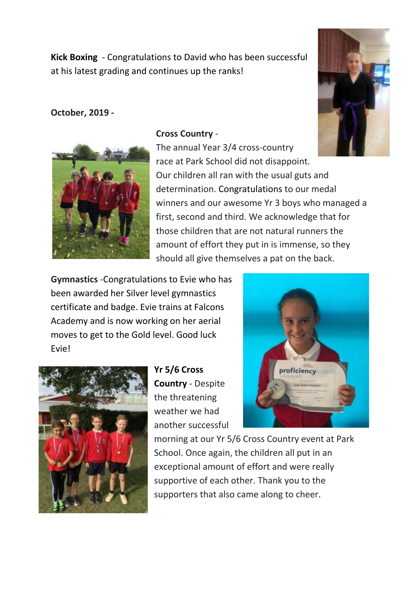**Kick Boxing** - Congratulations to David who has been successful at his latest grading and continues up the ranks!

# **October, 2019 -**





## **Cross Country** -

The annual Year 3/4 cross-country race at Park School did not disappoint. Our children all ran with the usual guts and determination. Congratulations to our medal winners and our awesome Yr 3 boys who managed a first, second and third. We acknowledge that for those children that are not natural runners the amount of effort they put in is immense, so they should all give themselves a pat on the back.

**Gymnastics** -Congratulations to Evie who has been awarded her Silver level gymnastics certificate and badge. Evie trains at Falcons Academy and is now working on her aerial moves to get to the Gold level. Good luck Evie!



**Yr 5/6 Cross Country** - Despite the threatening weather we had another successful



morning at our Yr 5/6 Cross Country event at Park School. Once again, the children all put in an exceptional amount of effort and were really supportive of each other. Thank you to the supporters that also came along to cheer.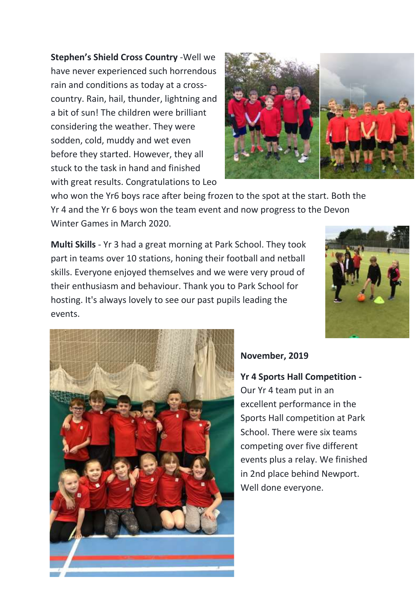**Stephen's Shield Cross Country** -Well we have never experienced such horrendous rain and conditions as today at a crosscountry. Rain, hail, thunder, lightning and a bit of sun! The children were brilliant considering the weather. They were sodden, cold, muddy and wet even before they started. However, they all stuck to the task in hand and finished with great results. Congratulations to Leo



who won the Yr6 boys race after being frozen to the spot at the start. Both the Yr 4 and the Yr 6 boys won the team event and now progress to the Devon Winter Games in March 2020.

**Multi Skills** - Yr 3 had a great morning at Park School. They took part in teams over 10 stations, honing their football and netball skills. Everyone enjoyed themselves and we were very proud of their enthusiasm and behaviour. Thank you to Park School for hosting. It's always lovely to see our past pupils leading the events.





# **November, 2019**

**Yr 4 Sports Hall Competition -** Our Yr 4 team put in an excellent performance in the Sports Hall competition at Park School. There were six teams competing over five different events plus a relay. We finished in 2nd place behind Newport. Well done everyone.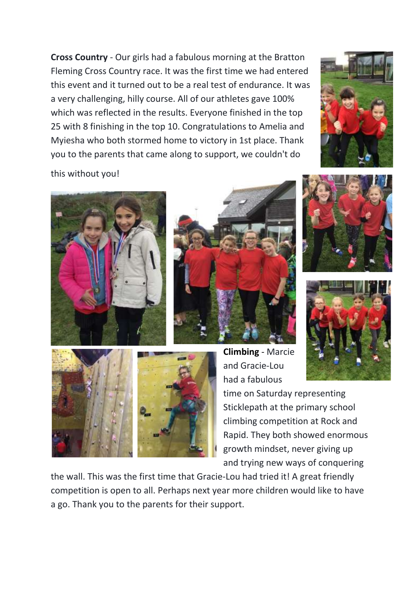**Cross Country** - Our girls had a fabulous morning at the Bratton Fleming Cross Country race. It was the first time we had entered this event and it turned out to be a real test of endurance. It was a very challenging, hilly course. All of our athletes gave 100% which was reflected in the results. Everyone finished in the top 25 with 8 finishing in the top 10. Congratulations to Amelia and Myiesha who both stormed home to victory in 1st place. Thank you to the parents that came along to support, we couldn't do



this without you!



![](_page_4_Picture_4.jpeg)

![](_page_4_Picture_5.jpeg)

![](_page_4_Picture_6.jpeg)

![](_page_4_Picture_7.jpeg)

**Climbing** - Marcie and Gracie-Lou had a fabulous

time on Saturday representing Sticklepath at the primary school climbing competition at Rock and Rapid. They both showed enormous growth mindset, never giving up and trying new ways of conquering

the wall. This was the first time that Gracie-Lou had tried it! A great friendly competition is open to all. Perhaps next year more children would like to have a go. Thank you to the parents for their support.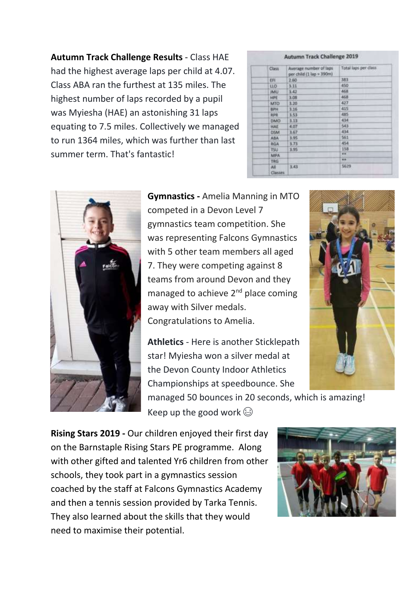**Autumn Track Challenge Results** - Class HAE had the highest average laps per child at 4.07. Class ABA ran the furthest at 135 miles. The highest number of laps recorded by a pupil was Myiesha (HAE) an astonishing 31 laps equating to 7.5 miles. Collectively we managed to run 1364 miles, which was further than last summer term. That's fantastic!

#### **Autumn Track Challenge 2019**

| Class.         | Average number of laps<br>per child (1 lap = 390m) | Total laps per class |
|----------------|----------------------------------------------------|----------------------|
| 研              | 2.60                                               | 383                  |
| <b>HO</b>      | 3.11                                               | 450                  |
| <b>JMU</b>     | 3.43                                               | 468                  |
| HPE:           | 3.08                                               | 468                  |
| MTO            | 3.20                                               | 427                  |
| <b>BPH</b>     | 3.16                                               | 415                  |
| 我学院            | 3.53                                               | 485                  |
| <b>DMO</b>     | 3.13                                               | 434                  |
| HAE            | 4.07                                               | 543                  |
| DSM            | 3.67                                               | 434                  |
| ABA            | 3.95                                               | 561                  |
| <b>RGA</b>     | 3.73                                               | 454                  |
| TSU.           | 3.95                                               | 158                  |
| MPA:           |                                                    | 44                   |
| TRG            |                                                    | $\overline{1}$       |
| All<br>Classes | 3.43                                               | 5629                 |

![](_page_5_Picture_3.jpeg)

**Gymnastics -** Amelia Manning in MTO competed in a Devon Level 7 gymnastics team competition. She was representing Falcons Gymnastics with 5 other team members all aged 7. They were competing against 8 teams from around Devon and they managed to achieve 2<sup>nd</sup> place coming away with Silver medals. Congratulations to Amelia.

**Athletics** - Here is another Sticklepath star! Myiesha won a silver medal at the Devon County Indoor Athletics Championships at speedbounce. She

managed 50 bounces in 20 seconds, which is amazing! Keep up the good work  $\odot$ 

**Rising Stars 2019 -** Our children enjoyed their first day on the Barnstaple Rising Stars PE programme. Along with other gifted and talented Yr6 children from other schools, they took part in a gymnastics session coached by the staff at Falcons Gymnastics Academy and then a tennis session provided by Tarka Tennis. They also learned about the skills that they would need to maximise their potential.

![](_page_5_Picture_8.jpeg)

![](_page_5_Picture_9.jpeg)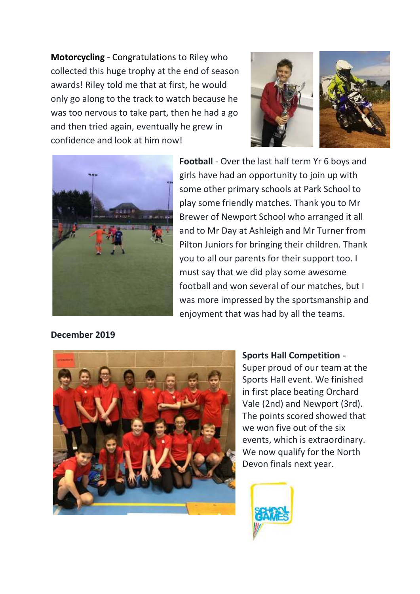**Motorcycling** - Congratulations to Riley who collected this huge trophy at the end of season awards! Riley told me that at first, he would only go along to the track to watch because he was too nervous to take part, then he had a go and then tried again, eventually he grew in confidence and look at him now!

![](_page_6_Picture_1.jpeg)

![](_page_6_Picture_2.jpeg)

**Football** - Over the last half term Yr 6 boys and girls have had an opportunity to join up with some other primary schools at Park School to play some friendly matches. Thank you to Mr Brewer of Newport School who arranged it all and to Mr Day at Ashleigh and Mr Turner from Pilton Juniors for bringing their children. Thank you to all our parents for their support too. I must say that we did play some awesome football and won several of our matches, but I was more impressed by the sportsmanship and enjoyment that was had by all the teams.

**December 2019**

![](_page_6_Picture_5.jpeg)

**Sports Hall Competition -** Super proud of our team at the Sports Hall event. We finished in first place beating Orchard Vale (2nd) and Newport (3rd). The points scored showed that we won five out of the six events, which is extraordinary. We now qualify for the North Devon finals next year.

![](_page_6_Picture_7.jpeg)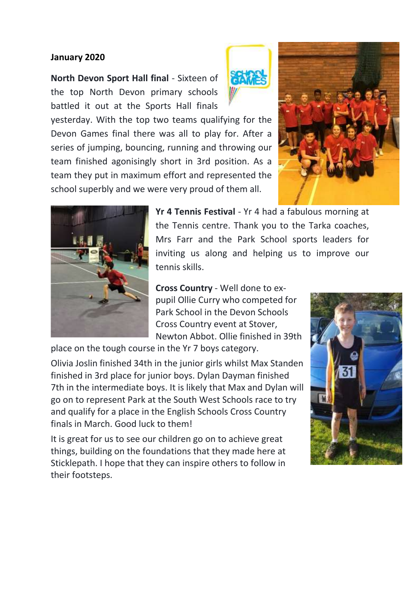#### **January 2020**

**North Devon Sport Hall final** - Sixteen of the top North Devon primary schools battled it out at the Sports Hall finals

![](_page_7_Picture_2.jpeg)

yesterday. With the top two teams qualifying for the Devon Games final there was all to play for. After a series of jumping, bouncing, running and throwing our team finished agonisingly short in 3rd position. As a team they put in maximum effort and represented the school superbly and we were very proud of them all.

![](_page_7_Picture_4.jpeg)

![](_page_7_Picture_5.jpeg)

**Yr 4 Tennis Festival** - Yr 4 had a fabulous morning at the Tennis centre. Thank you to the Tarka coaches, Mrs Farr and the Park School sports leaders for inviting us along and helping us to improve our tennis skills.

**Cross Country** - Well done to expupil Ollie Curry who competed for Park School in the Devon Schools Cross Country event at Stover, Newton Abbot. Ollie finished in 39th

place on the tough course in the Yr 7 boys category.

Olivia Joslin finished 34th in the junior girls whilst Max Standen finished in 3rd place for junior boys. Dylan Dayman finished 7th in the intermediate boys. It is likely that Max and Dylan will go on to represent Park at the South West Schools race to try and qualify for a place in the English Schools Cross Country finals in March. Good luck to them!

It is great for us to see our children go on to achieve great things, building on the foundations that they made here at Sticklepath. I hope that they can inspire others to follow in their footsteps.

![](_page_7_Picture_11.jpeg)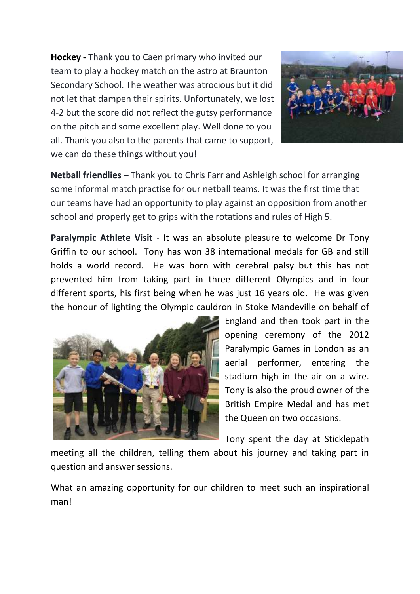**Hockey -** Thank you to Caen primary who invited our team to play a hockey match on the astro at Braunton Secondary School. The weather was atrocious but it did not let that dampen their spirits. Unfortunately, we lost 4-2 but the score did not reflect the gutsy performance on the pitch and some excellent play. Well done to you all. Thank you also to the parents that came to support, we can do these things without you!

![](_page_8_Picture_1.jpeg)

**Netball friendlies –** Thank you to Chris Farr and Ashleigh school for arranging some informal match practise for our netball teams. It was the first time that our teams have had an opportunity to play against an opposition from another school and properly get to grips with the rotations and rules of High 5.

**Paralympic Athlete Visit** - It was an absolute pleasure to welcome Dr Tony Griffin to our school. Tony has won 38 international medals for GB and still holds a world record. He was born with cerebral palsy but this has not prevented him from taking part in three different Olympics and in four different sports, his first being when he was just 16 years old. He was given the honour of lighting the Olympic cauldron in Stoke Mandeville on behalf of

![](_page_8_Picture_4.jpeg)

England and then took part in the opening ceremony of the 2012 Paralympic Games in London as an aerial performer, entering the stadium high in the air on a wire. Tony is also the proud owner of the British Empire Medal and has met the Queen on two occasions.

Tony spent the day at Sticklepath

meeting all the children, telling them about his journey and taking part in question and answer sessions.

What an amazing opportunity for our children to meet such an inspirational man!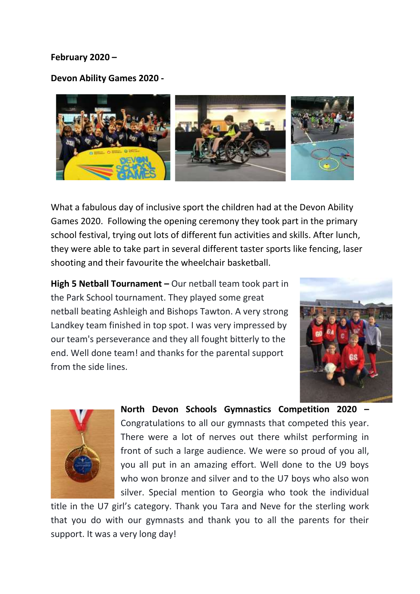#### **February 2020 –**

**Devon Ability Games 2020 -**

![](_page_9_Picture_2.jpeg)

What a fabulous day of inclusive sport the children had at the Devon Ability Games 2020. Following the opening ceremony they took part in the primary school festival, trying out lots of different fun activities and skills. After lunch, they were able to take part in several different taster sports like fencing, laser shooting and their favourite the wheelchair basketball.

**High 5 Netball Tournament –** Our netball team took part in the Park School tournament. They played some great netball beating Ashleigh and Bishops Tawton. A very strong Landkey team finished in top spot. I was very impressed by our team's perseverance and they all fought bitterly to the end. Well done team! and thanks for the parental support from the side lines.

![](_page_9_Picture_5.jpeg)

![](_page_9_Picture_6.jpeg)

**North Devon Schools Gymnastics Competition 2020 –** Congratulations to all our gymnasts that competed this year. There were a lot of nerves out there whilst performing in front of such a large audience. We were so proud of you all, you all put in an amazing effort. Well done to the U9 boys who won bronze and silver and to the U7 boys who also won silver. Special mention to Georgia who took the individual

title in the U7 girl's category. Thank you Tara and Neve for the sterling work that you do with our gymnasts and thank you to all the parents for their support. It was a very long day!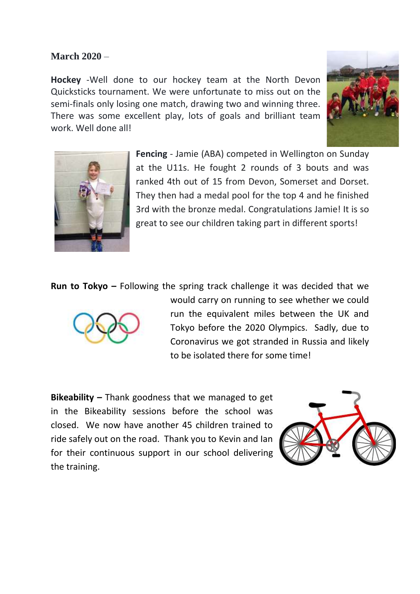## **March 2020** –

**Hockey** -Well done to our hockey team at the North Devon Quicksticks tournament. We were unfortunate to miss out on the semi-finals only losing one match, drawing two and winning three. There was some excellent play, lots of goals and brilliant team work. Well done all!

![](_page_10_Picture_2.jpeg)

![](_page_10_Picture_3.jpeg)

**Fencing** - Jamie (ABA) competed in Wellington on Sunday at the U11s. He fought 2 rounds of 3 bouts and was ranked 4th out of 15 from Devon, Somerset and Dorset. They then had a medal pool for the top 4 and he finished 3rd with the bronze medal. Congratulations Jamie! It is so great to see our children taking part in different sports!

**Run to Tokyo –** Following the spring track challenge it was decided that we

![](_page_10_Picture_6.jpeg)

would carry on running to see whether we could run the equivalent miles between the UK and Tokyo before the 2020 Olympics. Sadly, due to Coronavirus we got stranded in Russia and likely to be isolated there for some time!

**Bikeability –** Thank goodness that we managed to get in the Bikeability sessions before the school was closed. We now have another 45 children trained to ride safely out on the road. Thank you to Kevin and Ian for their continuous support in our school delivering the training.

![](_page_10_Picture_9.jpeg)